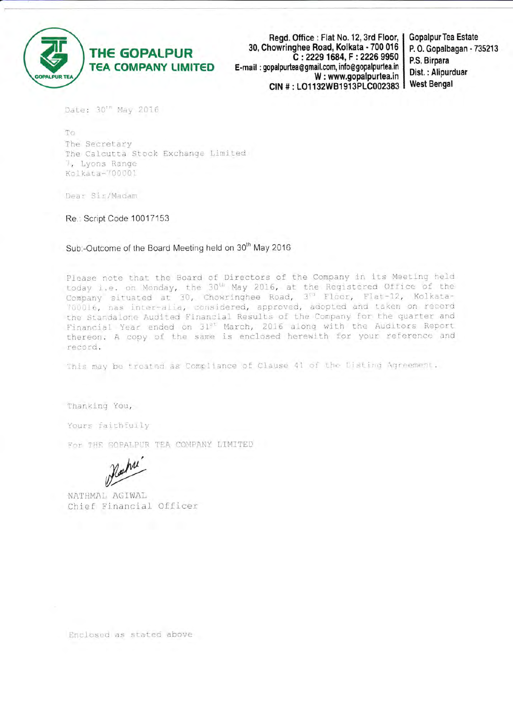

Regd. Office: Flat No. 12, 3rd Floor, | 30, Chowringhee Road, Kolkata - 700 016 C: 2229 1684, F: 2226 9950 E-mail: gopalpurtea@gmail.com, info@gopalpurtea.in W: www.gopalpurtea.in CIN #: LO1132WB1913PLC002383

**Gopalpur Tea Estate** P.O. Gopalbagan - 735213 P.S. Birpara Dist.: Alipurduar **West Bengal** 

Date: 30'" May 2016

To The Secretary The Calcutta Stock Exchange Limited 7, Lyons Range Kolkata-700001

Dear Sir/Madam

Re.: Script Code 10017153

Sub:-Outcome of the Board Meeting held on 30<sup>th</sup> May 2016

Please note that the Board of Directors of the Company in its Meeting held today i.e. on Monday, the 30<sup>th</sup> May 2016, at the Registered Office of the Company situated at 30, Chowringhee Road, 3<sup>10</sup> Floor, Flat-12, Kolkata-700016, nas inter-alia, considered, approved, adopted and taken on record the Standalone Audited Financial Results of the Company for the quarter and Financial Year ended on 31st March, 2016 along with the Auditors Report thereon. A copy of the same is enclosed herewith for your reference and record.

This may be treated as Compliance of Clause 41 of the Disting Agreement.

Thanking You,

Yours faithfully

For THE COPALPUR TEA COMPANY LIMITED

NATHMAL AGIWAL Chief Financial Officer

Enclosed as stated above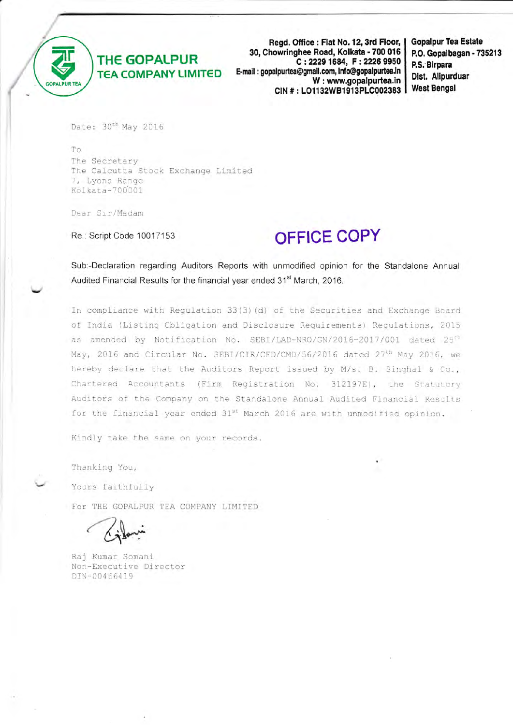

Regd. Office: Flat No. 12, 3rd Floor, 30, Chowringhee Road, Kolkata - 700 016 C: 2229 1684, F: 2226 9950 E-mail: gopalpurtea@gmail.com, info@gopalpurtea.in W: www.gopalpurtea.in CIN #: LO1132WB1913PLC002383 **Gopalpur Tea Estate** P.O. Gopalbagan - 735213 P.S. Birpara Dist. Alipurduar **West Bengal** 

Date: 30<sup>th</sup> May 2016

To The Secretary The Calcutta Stock Exchange Limited 7, Lyons Range Kolkata-700001

Dear Sir/Madam

Re.: Script Code 10017153

# **OFFICE COPY**

Sub:-Declaration regarding Auditors Reports with unmodified opinion for the Standalone Annual Audited Financial Results for the financial year ended 31<sup>st</sup> March, 2016.

In compliance with Regulation 33(3)(d) of the Securities and Exchange Board of India (Listing Obligation and Disclosure Requirements) Regulations, 2015 as amended by Notification No. SEBI/LAD-NRO/GN/2016-2017/001 dated 25<sup>th</sup> May, 2016 and Circular No. SEBI/CIR/CFD/CMD/56/2016 dated 27<sup>th</sup> May 2016, we hereby declare that the Auditors Report issued by M/s. B. Singhal & Co., Chartered Accountants (Firm Registration No. 312197E), the Statutory Auditors of the Company on the Standalone Annual Audited Financial Results for the financial year ended 31st March 2016 are with unmodified opinion.

Kindly take the same on your records.

Thanking You,

Yours faithfully

For THE GOPALPUR TEA COMPANY LIMITED

Raj Kumar Somani Non-Executive Director DIN-00466419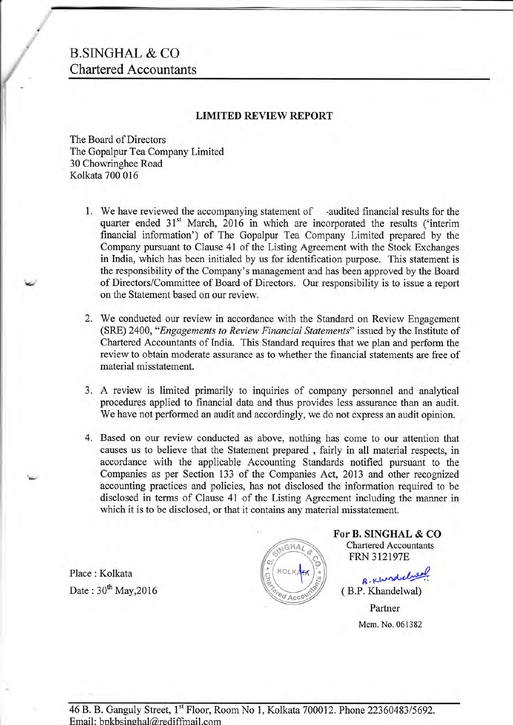## B.SINGHAL & CO Chartered Accountants

### LIMITED REVIEW REPORT

The Board of Directors The Gopalpur Tea Company Limited 30 Chowringhee Road Kolkata 700 016

- 1. We have reviewed the accompanying statement of -audited financial results for the quarter ended 31<sup>st</sup> March, 2016 in which are incorporated the results ('interim financial information') of The Gopalpur Tea Company Limited prepared by the Company pursuant to Clause 41 of the Listing Agreement with the Stock Exchanges in India, which has been initialed by us for identification purpose. This statement is the responsibility of the Company's management and has been approved by the Board of Directors/Committee of Board of Directors. Our responsibility is to issue a report on the Statement based on our review.
- 2. We conducted our review in accordance with the Standard on Review Engagement (SRE) 2400, "Engagements to Review Financial Statements" issued by the Institute of Chartered Accountants of India. This Standard requires that we plan and perform the review to obtain moderate assurance as to whether the financial statements are free of material misstatement.
- 3. A review is limited primarily to inquiries of company personnel and analytical procedures applied to financial data and thus provides less assurance than an audit. We have not performed an audit and accordingly, we do not express an audit opinion.
- 4. Based on our review conducted as above, nothing has come to our attention that causes us to believe that the Statement prepared , fairly in all material respects, in accordance with the applicable Accounting Standards notified pursuant to the Companies as per Section 133 of the Companies Act, 2013 and other recognized accounting practices and policies, has not disclosed the information required to be disclosed in terms of Clause 4l of the Listing Agreement including the manner in which it is to be disclosed, or that it contains any material misstatement.

Place : Kolkata Date:  $30^{th}$  May, 2016



For B. SINGHAL & CO Chartered Accountants FRN 312197E

B. Khondelueu (B.P. Khandelwal) Partner Mem. No. 061382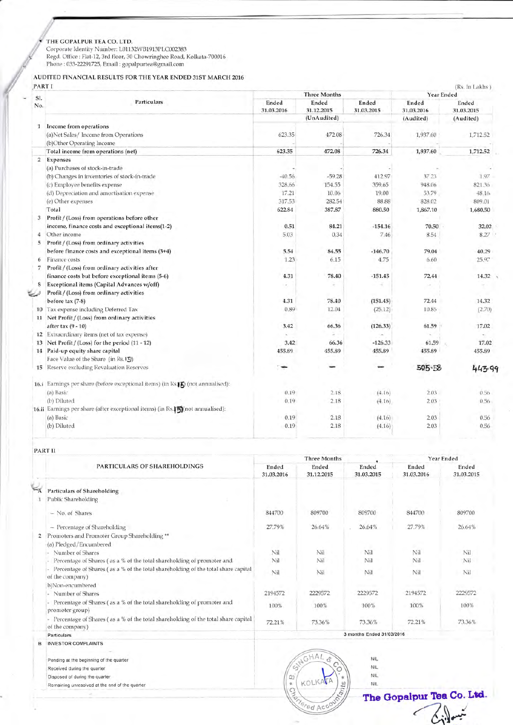THE GOPALPUR TEA CO. LTD.<br>Corporate Identity Number: L01132WB1913PLC002383<br>Regd. Office : Flat-12, 3rd floor, 30 Chowringhee Road, Kolkata-700016<br>Phone : 033-22291725, Email : gopalpurtea@gmail.com

### AUDITED FINANCIAL RESULTS FOR THE YEAR ENDED 31ST MARCH 2016

PARTI

|                | Particulars                                                                                | <b>Three Months</b> |                     |                     | (Rs. In Lakhs)<br>Year Ended |                     |
|----------------|--------------------------------------------------------------------------------------------|---------------------|---------------------|---------------------|------------------------------|---------------------|
| SI.<br>No.     |                                                                                            | Ended<br>31.03.2016 | Ended<br>31.12.2015 | Ended<br>31.03.2015 | Ended<br>31.03.2016          | Ended<br>31.03.2015 |
|                |                                                                                            |                     | (UnAudited)         |                     | (Audited)                    | (Audited)           |
| п.             | Income from operations<br>(a)Net Sales/Income from Operations<br>(b)Other Operating Income | 623.35              | 472.08              | 726.34              | 1,937.60                     | 1,712.52            |
|                | Total income from operations (net)                                                         | 623.35              | 472.08              | 726.34              | 1,937.60                     | 1,712.52            |
| $\overline{2}$ | Expenses                                                                                   |                     |                     |                     |                              |                     |
|                | (a) Purchases of stock-in-trade                                                            |                     |                     |                     |                              |                     |
|                | (b) Changes in inventories of stock-in-trade                                               | $-40.56$            | $-59.28$            | 412.97              | 37.23                        | 1.97                |
|                | (c) Employee benefits expense                                                              | 328.66              | 154.55              | 359.65              | 948.06                       | 821.36              |
|                | (d) Depreciation and amortisation expense                                                  | 17.21               | 10.06               | 19.00               | 53.79                        | 48.16.              |
|                | (e) Other expenses                                                                         | 317.53              | 282.54              | 88.88               | 828.02                       | 809.01              |
|                | Total                                                                                      | 622.84              | 387.87              | 880.50              | 1,867.10                     | 1,680.50            |
| 3              | Profit / (Loss) from operations before other                                               |                     |                     |                     |                              |                     |
|                | income, finance costs and exceptional items(1-2)                                           | 0.51                | 84.21               | $-154.16$           | 70.50                        | 32.02               |
| 4              | Other income                                                                               | 5.03                | 0.34                | 7.46                | 8.54                         | 8.27                |
| 5              | Profit / (Loss) from ordinary activities                                                   |                     |                     |                     |                              |                     |
|                | before finance costs and exceptional items (3+4)                                           | 5.54                | 84.55               | $-146.70$           | 79.04                        | 40.29               |
| 6              | Finance costs                                                                              | 1.23                | 6.15                | 4.75                | 6.60                         | 25.97               |
| 7              | Profit / (Loss) from ordinary activities after                                             |                     |                     |                     |                              |                     |
|                | finance costs but before exceptional items (5-6)                                           | 4.31                | 78.40               | $-151.45$           | 72.44                        | 14.32               |
|                | Exceptional items (Capital Advances w/off)                                                 |                     |                     |                     |                              |                     |
|                | Profit / (Loss) from ordinary activities                                                   |                     |                     |                     |                              |                     |
|                | before tax (7-8)                                                                           | 4.31                | 78.40               | (151.45)            | 72.44                        | 14.32               |
|                | 10 Tax expense including Deferred Tax                                                      | 0.89                | 12.04               | (25.12)             | 10.85                        | (2.70)              |
|                | 11 Net Profit / (Loss) from ordinary activities                                            |                     |                     |                     |                              |                     |
|                | after tax (9 - 10)                                                                         | 3.42                | 66.36               | (126.33)            | 61.59                        | 17.02               |
|                | 12 Extraordinary items (net of tax expense)                                                |                     |                     |                     |                              |                     |
|                | 13 Net Profit / (Loss) for the period (11 - 12)                                            | 3.42                | 66.36               | $-126.33$           | 61.59                        | 17.02               |
|                | 14 Paid-up equity share capital                                                            | 455.89              | 455.89              | 455.89              | 455.89                       | 455.89              |
|                | Face Value of the Share (in Rs.13)                                                         |                     |                     |                     |                              |                     |
|                | 15 Reserve excluding Revaluation Reserves                                                  | ÷                   |                     |                     | 505-58                       | 443-90              |
|                | 16.i Earnings per share (before exceptional items) (in Ks.FC) (not annualised):            |                     |                     |                     |                              |                     |
|                | (a) Basic                                                                                  | 0.19                | 2.18                | (4.16)              | 2.03                         | 0.56                |
|                | (b) Diluted                                                                                | 0.19                | 2.18                | (4.16)              | 2.03                         | 0.56                |
|                | 16.ii Earnings per share (after exceptional items) (in Rs.150)(not annualised):            |                     |                     |                     |                              |                     |
|                | (a) Basic                                                                                  | 0.19                | 2.18                | (4.16)              | 2.03                         | 0.56                |
|                | (b) Diluted                                                                                | 0.19                | 2.18                | (4.16)              | 2.03                         | 0.56                |

PART II

|   | PARTICULARS OF SHAREHOLDINGS                                                                         | <b>Three Months</b>       |                     |                     | Year Ended          |                     |
|---|------------------------------------------------------------------------------------------------------|---------------------------|---------------------|---------------------|---------------------|---------------------|
|   |                                                                                                      | Ended<br>31.03.2016       | Ended<br>31.12.2015 | Ended<br>31.03.2015 | Ended<br>31.03.2016 | Ended<br>31.03.2015 |
|   | <b>Particulars of Shareholding</b>                                                                   |                           |                     |                     |                     |                     |
|   | Public Shareholding                                                                                  |                           |                     |                     |                     |                     |
|   | - No. of Shares                                                                                      | 844700                    | 809700              | 809700              | 844700              | 809700              |
|   | -- Percentage of Shareholding                                                                        | 27.79%                    | 26.64%              | 26.64%              | 27.79%              | 26.64%              |
| 2 | Promoters and Promoter Group Shareholding **                                                         |                           |                     |                     |                     |                     |
|   | (a) Pledged/Encumbered                                                                               |                           |                     |                     |                     |                     |
|   | Number of Shares                                                                                     | Nil                       | Nil                 | Nil                 | Nil                 | Nil                 |
|   | Percentage of Shares (as a % of the total shareholding of promoter and                               | Nil                       | Nil                 | Nil                 | Nil                 | Nil                 |
|   | Percentage of Shares (as a % of the total shareholding of the total share capital<br>of the company) | Nil                       | Nil                 | Nil                 | Nil                 | Nil                 |
|   | b)Non-encumbered                                                                                     |                           |                     |                     |                     |                     |
|   | Number of Shares                                                                                     | 2194572                   | 2229572             | 2229572             | 2194572             | 2229572             |
|   | Percentage of Shares (as a % of the total shareholding of promoter and<br>promoter group)            | 100%                      | 100%                | 100%                | 100%                | 100%                |
|   | Percentage of Shares (as a % of the total shareholding of the total share capital<br>of the company) | 72.21%                    | 73.36%              | 73.36%              | 72.21%              | 73.36%              |
|   | Particulars                                                                                          | 3 months Ended 31/03/2016 |                     |                     |                     |                     |
|   | INVESTOR COMPLAINTS                                                                                  |                           |                     |                     |                     |                     |

Pending at the beginning of the quarter Received during the quarter Disposed of during the quarter Remaining unresolved at the end of the quarter



 $NIL$  $NIL$ 

**NIL** 

 $NIL$ 

The Gopalpur Tea Co. Ltd. Gillaux